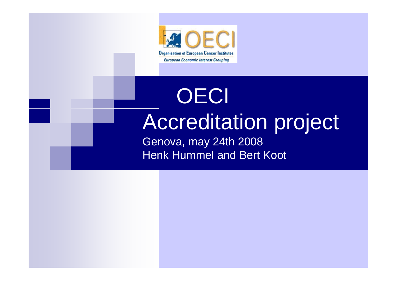

# **OECI** Accreditation project

Genova, may 24th 2008 Henk Hummel and Bert Koot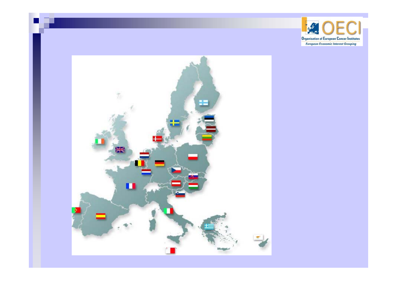



B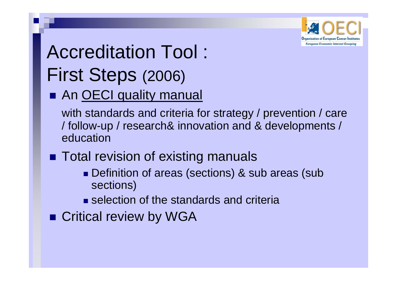

## Accreditation Tool : First Steps (2006)

#### **An OECI quality manual**

with standards and criteria for strategy / prevention / care / follow-up / research& innovation and & developments / education

■ Total revision of existing manuals

- Definition of areas (sections) & sub areas (sub sections)
- **selection of the standards and criteria**
- **Critical review by WGA**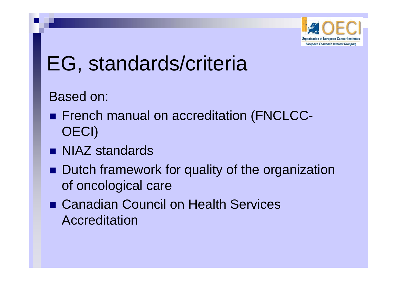

# EG, standards/criteria

#### Based on:

- **French manual on accreditation (FNCLCC-**OECI)
- **NIAZ standards**
- **Dutch framework for quality of the organization** of oncological care
- **Example 20 Inc.** Council on Health Services Accreditation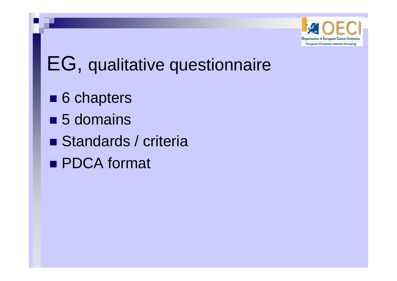

## EG, qualitative questionnaire

- 6 chapters
- 5 domains
- Standards / criteria
- **PDCA** format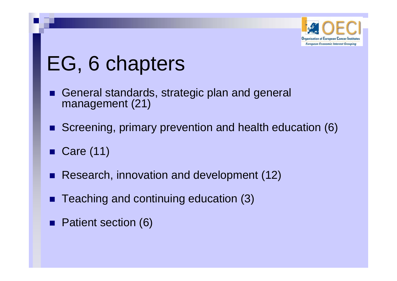

# EG, 6 chapters

- General standards, strategic plan and general management (21)
- Screening, primary prevention and health education (6)
- $\blacksquare$  Care (11)
- Research, innovation and development (12) .
- Teaching and continuing education (3)  $\blacksquare$
- Patient section (6)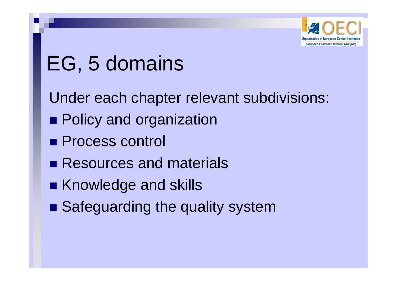

# EG, 5 domains

Under each chapter relevant subdivisions:

- **Policy and organization**
- **Process control**
- **Resources and materials**
- **EXALE Knowledge and skills**
- Safeguarding the quality system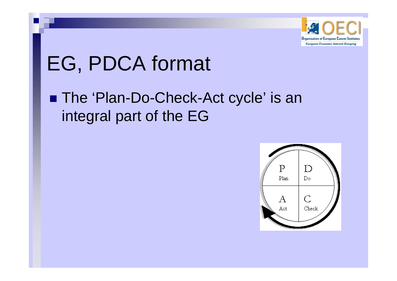

## EG, PDCA format

#### ■ The 'Plan-Do-Check-Act cycle' is an integral part of the EG

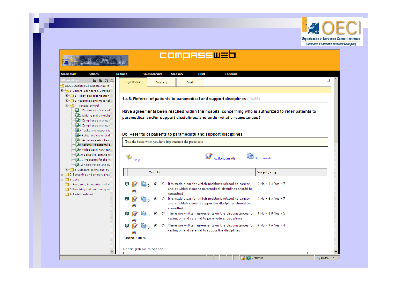

|                                                                                                                                  |                                                                                                                                                                             |                      | <u> Compassusb</u>                                                                                                                        |                        |                  |  |  |  |  |  |  |
|----------------------------------------------------------------------------------------------------------------------------------|-----------------------------------------------------------------------------------------------------------------------------------------------------------------------------|----------------------|-------------------------------------------------------------------------------------------------------------------------------------------|------------------------|------------------|--|--|--|--|--|--|
| <b>Close audit</b><br><b>Actions</b>                                                                                             | <b>Settings</b>                                                                                                                                                             | <b>Questionnaire</b> | Glossary<br><b>Print</b><br>jc.horiot                                                                                                     |                        |                  |  |  |  |  |  |  |
| 日田以土<br>All questions<br>OECI Qualitative Questionnaire<br>1 General Standards, Strateg                                          | Questions                                                                                                                                                                   | Glossary             | Email                                                                                                                                     |                        | $=$ $\Box$       |  |  |  |  |  |  |
| $\Box$ 1 Policy and organization<br><b>E</b> 3 Resources and material<br>4 Process control                                       | 1.4.8. Referral of patients to paramedical and support disciplines (14/59)                                                                                                  |                      |                                                                                                                                           |                        |                  |  |  |  |  |  |  |
| 1 Continuity of care wil<br>2 Waiting and throughp<br>3 Compliance with guid<br>4 Compliance with guid                           | Have agreements been reached within the hospital concerning who is authorized to refer patients to<br>paramedical and/or support disciplines, and under what circumstances? |                      |                                                                                                                                           |                        |                  |  |  |  |  |  |  |
| 5 Tasks and responsit                                                                                                            |                                                                                                                                                                             |                      |                                                                                                                                           |                        |                  |  |  |  |  |  |  |
| 6 Roles and tasks of the<br>7 Communication between<br>8 Referral of patients t                                                  | Do, Referral of patients to paramedical and support disciplines<br>Tick the boxes when you have implemented the processess                                                  |                      |                                                                                                                                           |                        |                  |  |  |  |  |  |  |
| 9 Multidisciplinary har<br>10 Selection criteria fo<br>11 Procedure for the o<br>12 Registration and ev                          | Help                                                                                                                                                                        |                      | Actionplan (0)                                                                                                                            | Documents              |                  |  |  |  |  |  |  |
| <b>E</b> 5 Safegarding the quality<br>2 Screening and primary prev                                                               |                                                                                                                                                                             | Yes<br>No            |                                                                                                                                           | Vergelijking           |                  |  |  |  |  |  |  |
| □ □ 3 Care                                                                                                                       |                                                                                                                                                                             |                      |                                                                                                                                           |                        |                  |  |  |  |  |  |  |
| $\mathbf{H}$ $\Box$ 4 Research, innovation and $\mathbf{d}$<br>$\Box$ 5 Teaching and continuing ed<br><b>E</b> 6 Patient related | (頁)<br>(0)                                                                                                                                                                  | O.                   | It is made clear for which problems related to cancer<br>and at which moment paramedical disciplines should be<br>consulted               | # $No = 6$ # $Yes = 7$ |                  |  |  |  |  |  |  |
|                                                                                                                                  | Q<br>(0)                                                                                                                                                                    |                      | $\bigcirc$ It is made clear for which problems related to cancer<br>and at which moment supportive disciplines should be<br>consulted     | # $No = 6$ # $Yes = 7$ |                  |  |  |  |  |  |  |
|                                                                                                                                  | Q<br>L.<br>(0)                                                                                                                                                              |                      | $\bigcirc$ There are written agreements on the circumstances for # No = 8 # Yes = 5<br>calling on and referral to paramedical disciplines |                        |                  |  |  |  |  |  |  |
|                                                                                                                                  | 頁<br>(0)                                                                                                                                                                    | O.                   | There are written agreements on the circumstances for $#$ No = 9 $#$ Yes = 4<br>calling on and referral to supportive disciplines         |                        |                  |  |  |  |  |  |  |
|                                                                                                                                  | <b>Score 100 %</b>                                                                                                                                                          |                      |                                                                                                                                           |                        |                  |  |  |  |  |  |  |
|                                                                                                                                  | Notitie (klik om te openen)                                                                                                                                                 |                      |                                                                                                                                           |                        |                  |  |  |  |  |  |  |
|                                                                                                                                  |                                                                                                                                                                             |                      |                                                                                                                                           | Internet               | $$100\%$ $\star$ |  |  |  |  |  |  |

 $\mathbb{R}^n$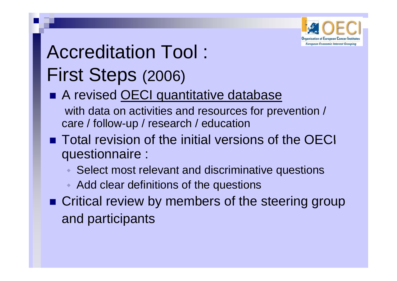

## Accreditation Tool : First Steps (2006)

- A revised OECI quantitative database with data on activities and resources for prevention / care / follow-up / research / education
- $\blacksquare$  Total revision of the initial versions of the OECI questionnaire :
	- $\bullet$  Select most relevant and discriminative questions
	- Add clear definitions of the questions
- **Example 13 Critical review by members of the steering group** and participants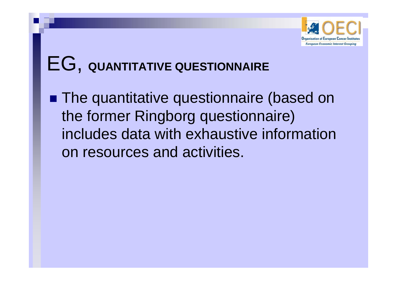

## EG, **QUANTITATIVE QUESTIONNAIRE**

**The quantitative questionnaire (based on** the former Ringborg questionnaire) includes data with exhaustive information on resources and activities.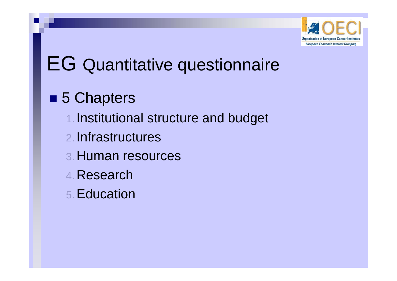

### EG Quantitative questionnaire

#### ■ 5 Chapters

- 1. Institutional structure and budget
- 2. Infrastructures
- 3.Human resources
- 4. Research
- 5.Education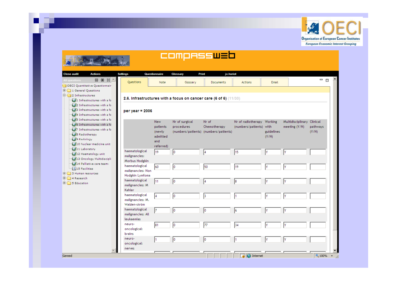

|                                                                                                                                                                                                                                                                                                                                                                    |                                                                   |                                                                   |                              | <b>COMPRSSWED</b>                                              |                                                       |                     |                                    |                               |  |  |  |  |
|--------------------------------------------------------------------------------------------------------------------------------------------------------------------------------------------------------------------------------------------------------------------------------------------------------------------------------------------------------------------|-------------------------------------------------------------------|-------------------------------------------------------------------|------------------------------|----------------------------------------------------------------|-------------------------------------------------------|---------------------|------------------------------------|-------------------------------|--|--|--|--|
| <b>Close audit</b><br><b>Actions</b>                                                                                                                                                                                                                                                                                                                               | <b>Settings</b>                                                   | <b>Questionnaire</b>                                              | Glossary<br>Print            | jc.horiot                                                      |                                                       |                     |                                    |                               |  |  |  |  |
| 日田岡二<br>All questions<br>OECI Quantitative Questionnair                                                                                                                                                                                                                                                                                                            | Questions                                                         | Note                                                              | Glossary                     | Documents                                                      | Actions                                               | Email               |                                    | $ -$                          |  |  |  |  |
| <sup>1</sup> 1 General Questions<br>$\Box$ 2 Infrastructures<br>1 Infrastructures with a fo                                                                                                                                                                                                                                                                        | 2.6. Infrastructures with a focus on cancer care (6 of 6) (11/30) |                                                                   |                              |                                                                |                                                       |                     |                                    |                               |  |  |  |  |
| 2 Infrastructures with a fo<br>3 Infrastructures with a fo<br>44 Infrastructures with a fo                                                                                                                                                                                                                                                                         | per year = $2006$                                                 |                                                                   |                              |                                                                |                                                       |                     |                                    |                               |  |  |  |  |
| 5 Infrastructures with a fo<br>6 Infrastructures with a fo<br>7 Infrastructures with a fo<br>8 Radiotherapy<br>9 Radiology<br>10 Nuclear medicine unit<br>11 Laboratory<br>12 Haematology unit<br>13 Oncology Multidiscipli<br>14 Palliative care team:<br><b>15 Facilities</b><br><b>E</b> 3 Human resources<br><b>中</b> 4 Research<br>$\overline{E}$ 5 Education |                                                                   | <b>New</b><br>patients<br>(newly)<br>admitted<br>and<br>referred) | Nr of surgical<br>procedures | Nr of<br>Chemotherapy<br>(numbers/patients) (numbers/patients) | Nr of radiotherapy Working<br>(numbers/patients) with | guidelines<br>(Y/N) | Multidisciplinary<br>meeting (Y/N) | Clinical<br>pathways<br>(Y/N) |  |  |  |  |
|                                                                                                                                                                                                                                                                                                                                                                    | haematological<br>malignancies:<br>Morbus Hodgkin                 | 19                                                                | 10                           | 14                                                             | 15                                                    | l۷                  | l۷                                 |                               |  |  |  |  |
|                                                                                                                                                                                                                                                                                                                                                                    | haematological<br>malignancies: Non<br>Hodgkin Lymfoma            | 60                                                                | lo.                          | 50                                                             | 19                                                    | l۷                  |                                    |                               |  |  |  |  |
|                                                                                                                                                                                                                                                                                                                                                                    | haematological<br>malignancies: M<br>Kahler                       | l11                                                               | lo.                          | l4                                                             | l8                                                    |                     |                                    |                               |  |  |  |  |
|                                                                                                                                                                                                                                                                                                                                                                    | haematological<br>malignancies: M.<br>Walden-ström                | l4                                                                | lо                           | l3                                                             |                                                       | l۷                  | I۷                                 |                               |  |  |  |  |
|                                                                                                                                                                                                                                                                                                                                                                    | haematological<br>malignancies: All<br><b>leukaemias</b>          | 17                                                                | Iо                           | Iо                                                             | 16                                                    | l۷                  |                                    |                               |  |  |  |  |
|                                                                                                                                                                                                                                                                                                                                                                    | neuro-<br>oncological:<br><b>brains</b>                           | 81                                                                | Iо                           | 77                                                             | 34                                                    | Y                   | l۷                                 |                               |  |  |  |  |
|                                                                                                                                                                                                                                                                                                                                                                    | neuro-<br>oncological:<br>nerves                                  |                                                                   | lo.                          | 10                                                             |                                                       | l۷                  | lY                                 |                               |  |  |  |  |
| Gereed                                                                                                                                                                                                                                                                                                                                                             |                                                                   |                                                                   |                              |                                                                | $\bigcirc$ Internet                                   |                     |                                    | $\bigoplus$ 100% $\bullet$ // |  |  |  |  |

 $\mathbb{R}^n$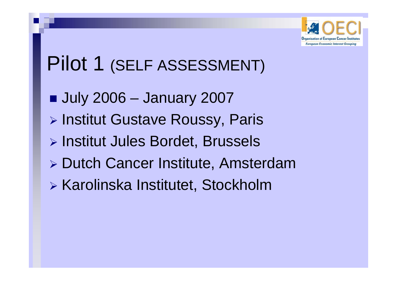

### Pilot 1 (SELF ASSESSMENT)

- July 2006 January 2007
- ¾ Institut Gustave Roussy, Paris
- $\triangleright$  Institut Jules Bordet, Brussels
- ¾ Dutch Cancer Institute, Amsterdam
- ¾ Karolinska Institutet, Stockholm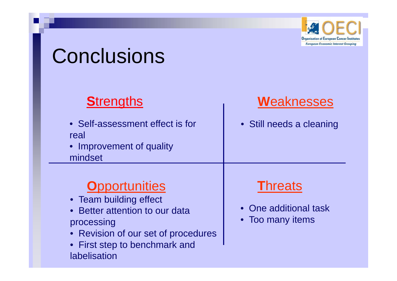**Organisation of European Cancer Institute European Economic Interest Grouping** 

## **Conclusions**

- Self-assessment effect is for real
- Improvement of quality mindset

#### **Strengths Meaknesses**

• Still needs a cleaning

#### **O**pportunities

- Team building effect
- Better attention to our data processing
- Revision of our set of procedures
- First step to benchmark and labelisation

#### One additional task

 $\bullet$ Too many items

•

**T**hreats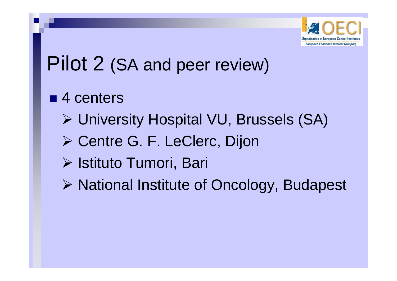

## Pilot 2 (SA and peer review)

■ 4 centers

- ¾ University Hospital VU, Brussels (SA)
- $\triangleright$  Centre G. F. LeClerc, Dijon
- ¾ Istituto Tumori, Bari
- ¾ National Institute of Oncology, Budapest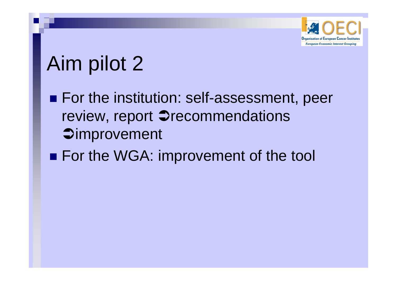

# Aim pilot 2

- **For the institution: self-assessment, peer** review, report  $\triangle$  recommendations  $\supset$  improvement
- **For the WGA: improvement of the tool**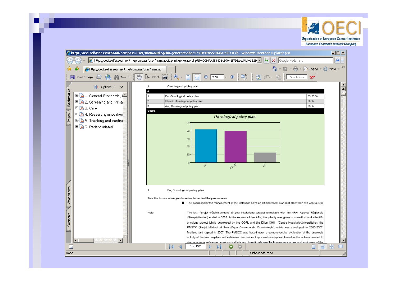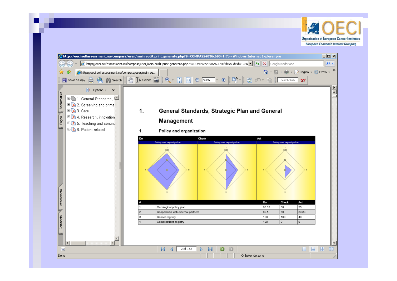

Onbekende zone

 $\begin{array}{c|c|c|c|c} \hline \multicolumn{3}{c|}{\textbf{H}} & \multicolumn{3}{c|}{\textbf{H}} \\ \hline \multicolumn{3}{c|}{\textbf{H}} & \multicolumn{3}{c|}{\textbf{H}} \\ \hline \multicolumn{3}{c|}{\textbf{H}} & \multicolumn{3}{c|}{\textbf{H}} \\ \hline \multicolumn{3}{c|}{\textbf{H}} & \multicolumn{3}{c|}{\textbf{H}} \\ \hline \multicolumn{3}{c|}{\textbf{H}} & \multicolumn{3}{c|}{\textbf{H}} \\ \hline \multicolumn{3}{c|}{\textbf{H}} &$ 

**UD** 

5. Teaching and continu **E-D** 6. Patient related

Bookmarks

Pages

Attachments

Comments

E

Done

B B 3. Care

 $\blacksquare$  $\blacktriangleleft$ 2 of 152  $\bullet$  $\circ$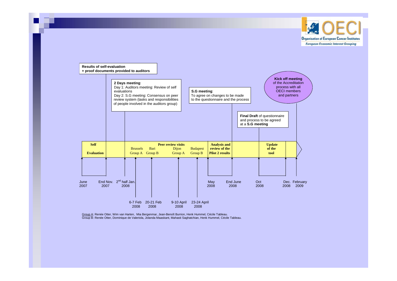



<u>Group A</u>: Renée Otter, Wim van Harten, Mia Bergenmar, Jean-Benoît Burrion, Henk Hummel, Cécile Tableau.<br>Group B: Renée Otter, Dominique de Valeriola, Jolanda Maaskant, Mahasti Saqhatchian, Henk Hummel, Cécile Tableau.